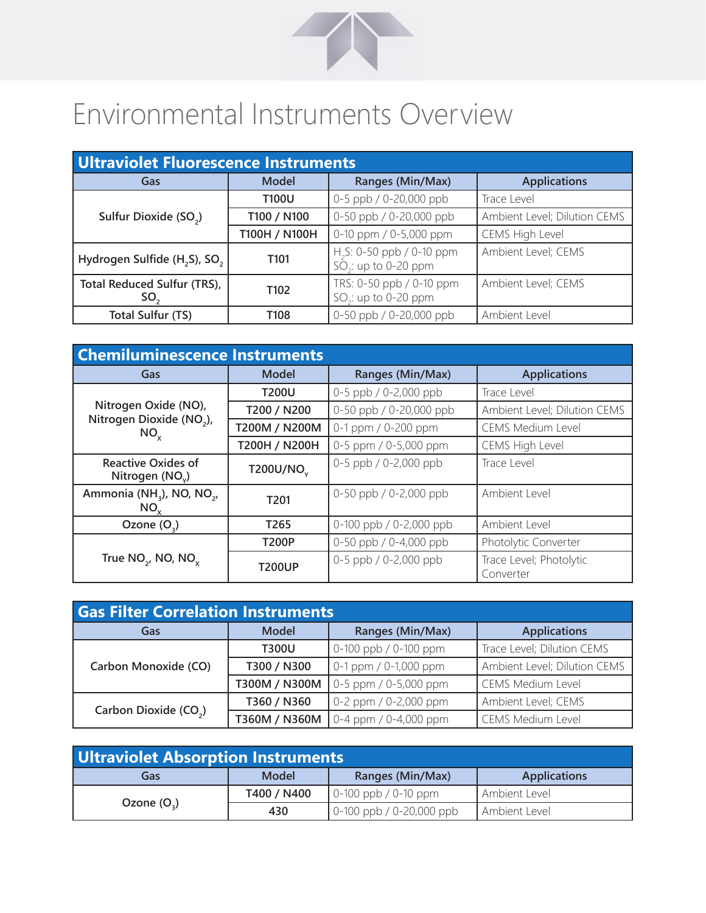

## Environmental Instruments Overview

| <b>Ultraviolet Fluorescence Instruments</b>          |                  |                                                                 |                              |  |
|------------------------------------------------------|------------------|-----------------------------------------------------------------|------------------------------|--|
| Gas                                                  | <b>Model</b>     | Ranges (Min/Max)                                                | <b>Applications</b>          |  |
|                                                      | <b>T100U</b>     | 0-5 ppb / 0-20,000 ppb                                          | Trace Level                  |  |
| Sulfur Dioxide (SO <sub>2</sub> )                    | T100 / N100      | 0-50 ppb / 0-20,000 ppb                                         | Ambient Level; Dilution CEMS |  |
|                                                      | T100H / N100H    | 0-10 ppm / 0-5,000 ppm                                          | CEMS High Level              |  |
| Hydrogen Sulfide (H <sub>2</sub> S), SO <sub>2</sub> | T <sub>101</sub> | H <sub>2</sub> S: 0-50 ppb / 0-10 ppm<br>$SO2$ : up to 0-20 ppm | Ambient Level; CEMS          |  |
| Total Reduced Sulfur (TRS),<br>SO <sub>2</sub>       | T <sub>102</sub> | TRS: 0-50 ppb / 0-10 ppm<br>SO <sub>2</sub> : up to 0-20 ppm    | Ambient Level; CEMS          |  |
| <b>Total Sulfur (TS)</b>                             | T108             | 0-50 ppb / 0-20,000 ppb                                         | Ambient Level                |  |

| <b>Chemiluminescence Instruments</b>                         |                       |                          |                                      |
|--------------------------------------------------------------|-----------------------|--------------------------|--------------------------------------|
| Gas                                                          | Model                 | Ranges (Min/Max)         | <b>Applications</b>                  |
|                                                              | <b>T200U</b>          | 0-5 ppb / 0-2,000 ppb    | Trace Level                          |
| Nitrogen Oxide (NO),<br>Nitrogen Dioxide (NO <sub>2</sub> ), | T200 / N200           | 0-50 ppb / 0-20,000 ppb  | Ambient Level; Dilution CEMS         |
| $NO_{x}$                                                     | T200M / N200M         | 0-1 ppm / 0-200 ppm      | <b>CEMS Medium Level</b>             |
|                                                              | T200H / N200H         | 0-5 ppm / 0-5,000 ppm    | CEMS High Level                      |
| <b>Reactive Oxides of</b><br>Nitrogen (NO <sub>v</sub> )     | T200U/NO <sub>v</sub> | 0-5 ppb / 0-2,000 ppb    | Trace Level                          |
| Ammonia (NH <sub>3</sub> ), NO, NO <sub>2</sub> ,<br>NO.     | T <sub>201</sub>      | 0-50 ppb $/$ 0-2,000 ppb | Ambient Level                        |
| Ozone $(O_3)$                                                | T <sub>265</sub>      | 0-100 ppb / 0-2,000 ppb  | Ambient Level                        |
| True $NO_{2}$ , NO, NO <sub>x</sub>                          | <b>T200P</b>          | 0-50 ppb / 0-4,000 ppb   | Photolytic Converter                 |
|                                                              | <b>T200UP</b>         | 0-5 ppb / 0-2,000 ppb    | Trace Level; Photolytic<br>Converter |

| <b>Gas Filter Correlation Instruments</b> |               |                         |                              |  |
|-------------------------------------------|---------------|-------------------------|------------------------------|--|
| Gas                                       | <b>Model</b>  | Ranges (Min/Max)        | <b>Applications</b>          |  |
| Carbon Monoxide (CO)                      | <b>T300U</b>  | 0-100 ppb / 0-100 ppm   | Trace Level; Dilution CEMS   |  |
|                                           | T300 / N300   | 0-1 ppm / 0-1,000 ppm   | Ambient Level; Dilution CEMS |  |
|                                           | T300M / N300M | 0-5 ppm / 0-5,000 ppm   | <b>CEMS Medium Level</b>     |  |
| Carbon Dioxide (CO <sub>2</sub> )         | T360 / N360   | 0-2 ppm / 0-2,000 ppm   | Ambient Level; CEMS          |  |
|                                           | T360M / N360M | $0-4$ ppm / 0-4,000 ppm | <b>CEMS Medium Level</b>     |  |

| <b>Ultraviolet Absorption Instruments</b> |              |                          |                     |
|-------------------------------------------|--------------|--------------------------|---------------------|
| Gas                                       | <b>Model</b> | Ranges (Min/Max)         | <b>Applications</b> |
| Ozone $(O_2)$                             | T400 / N400  | $0-100$ ppb / 0-10 ppm   | Ambient Level       |
|                                           | 430          | 0-100 ppb / 0-20,000 ppb | Ambient Level       |